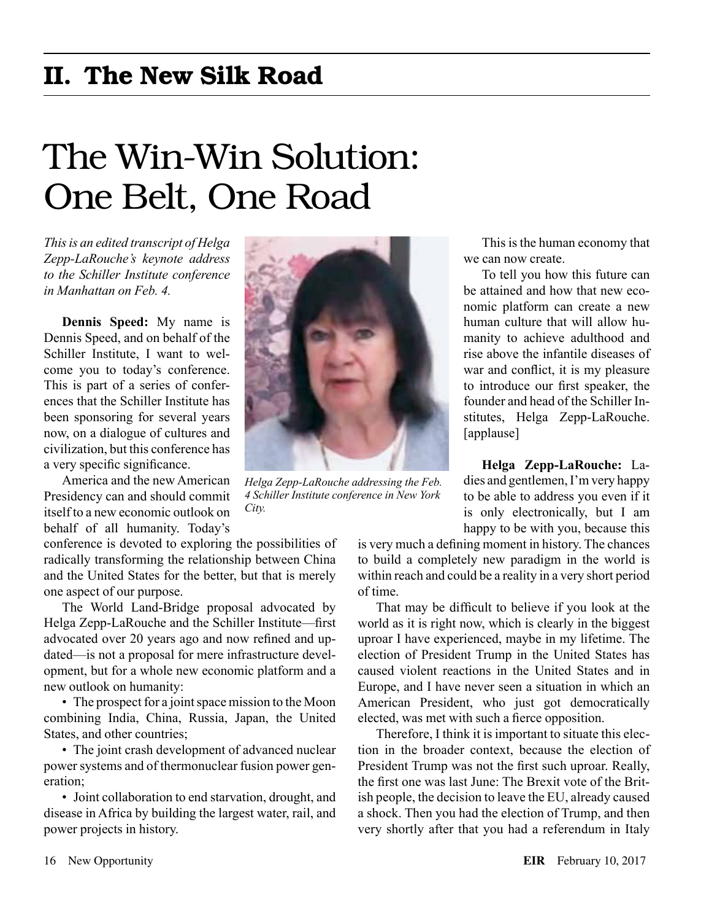# The Win-Win Solution: One Belt, One Road

*This is an edited transcript of Helga Zepp-LaRouche's keynote address to the Schiller Institute conference in Manhattan on Feb. 4.*

**Dennis Speed:** My name is Dennis Speed, and on behalf of the Schiller Institute, I want to welcome you to today's conference. This is part of a series of conferences that the Schiller Institute has been sponsoring for several years now, on a dialogue of cultures and civilization, but this conference has a very specific significance.

America and the new American Presidency can and should commit itself to a new economic outlook on behalf of all humanity. Today's

conference is devoted to exploring the possibilities of radically transforming the relationship between China and the United States for the better, but that is merely one aspect of our purpose.

The World Land-Bridge proposal advocated by Helga Zepp-LaRouche and the Schiller Institute—first advocated over 20 years ago and now refined and updated—is not a proposal for mere infrastructure development, but for a whole new economic platform and a new outlook on humanity:

• The prospect for a joint space mission to the Moon combining India, China, Russia, Japan, the United States, and other countries;

• The joint crash development of advanced nuclear power systems and of thermonuclear fusion power generation;

• Joint collaboration to end starvation, drought, and disease in Africa by building the largest water, rail, and power projects in history.



*Helga Zepp-LaRouche addressing the Feb. 4 Schiller Institute conference in New York City.*

This is the human economy that we can now create.

To tell you how this future can be attained and how that new economic platform can create a new human culture that will allow humanity to achieve adulthood and rise above the infantile diseases of war and conflict, it is my pleasure to introduce our first speaker, the founder and head of the Schiller Institutes, Helga Zepp-LaRouche. [applause]

**Helga Zepp-LaRouche:** Ladies and gentlemen, I'm very happy to be able to address you even if it is only electronically, but I am happy to be with you, because this

is very much a defining moment in history. The chances to build a completely new paradigm in the world is within reach and could be a reality in a very short period of time.

That may be difficult to believe if you look at the world as it is right now, which is clearly in the biggest uproar I have experienced, maybe in my lifetime. The election of President Trump in the United States has caused violent reactions in the United States and in Europe, and I have never seen a situation in which an American President, who just got democratically elected, was met with such a fierce opposition.

Therefore, I think it is important to situate this election in the broader context, because the election of President Trump was not the first such uproar. Really, the first one was last June: The Brexit vote of the British people, the decision to leave the EU, already caused a shock. Then you had the election of Trump, and then very shortly after that you had a referendum in Italy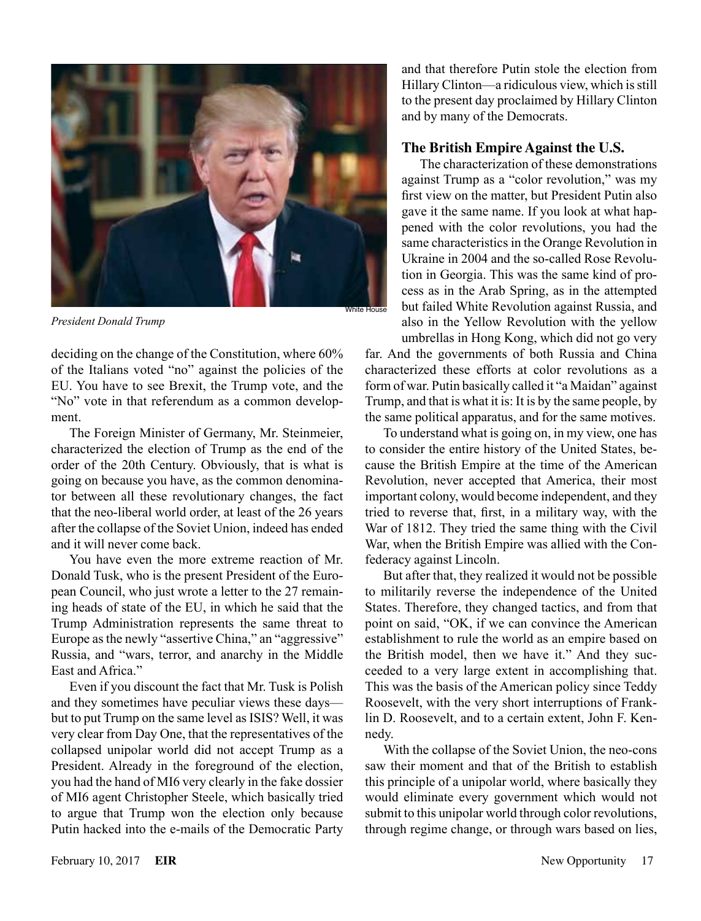

*President Donald Trump*

deciding on the change of the Constitution, where 60% of the Italians voted "no" against the policies of the EU. You have to see Brexit, the Trump vote, and the "No" vote in that referendum as a common development.

The Foreign Minister of Germany, Mr. Steinmeier, characterized the election of Trump as the end of the order of the 20th Century. Obviously, that is what is going on because you have, as the common denominator between all these revolutionary changes, the fact that the neo-liberal world order, at least of the 26 years after the collapse of the Soviet Union, indeed has ended and it will never come back.

You have even the more extreme reaction of Mr. Donald Tusk, who is the present President of the European Council, who just wrote a letter to the 27 remaining heads of state of the EU, in which he said that the Trump Administration represents the same threat to Europe as the newly "assertive China," an "aggressive" Russia, and "wars, terror, and anarchy in the Middle East and Africa."

Even if you discount the fact that Mr. Tusk is Polish and they sometimes have peculiar views these days but to put Trump on the same level as ISIS? Well, it was very clear from Day One, that the representatives of the collapsed unipolar world did not accept Trump as a President. Already in the foreground of the election, you had the hand of MI6 very clearly in the fake dossier of MI6 agent Christopher Steele, which basically tried to argue that Trump won the election only because Putin hacked into the e-mails of the Democratic Party and that therefore Putin stole the election from Hillary Clinton—a ridiculous view, which is still to the present day proclaimed by Hillary Clinton and by many of the Democrats.

# **The British Empire Against the U.S.**

The characterization of these demonstrations against Trump as a "color revolution," was my first view on the matter, but President Putin also gave it the same name. If you look at what happened with the color revolutions, you had the same characteristics in the Orange Revolution in Ukraine in 2004 and the so-called Rose Revolution in Georgia. This was the same kind of process as in the Arab Spring, as in the attempted but failed White Revolution against Russia, and also in the Yellow Revolution with the yellow umbrellas in Hong Kong, which did not go very

far. And the governments of both Russia and China characterized these efforts at color revolutions as a form of war. Putin basically called it "a Maidan" against Trump, and that is what it is: It is by the same people, by the same political apparatus, and for the same motives.

To understand what is going on, in my view, one has to consider the entire history of the United States, because the British Empire at the time of the American Revolution, never accepted that America, their most important colony, would become independent, and they tried to reverse that, first, in a military way, with the War of 1812. They tried the same thing with the Civil War, when the British Empire was allied with the Confederacy against Lincoln.

But after that, they realized it would not be possible to militarily reverse the independence of the United States. Therefore, they changed tactics, and from that point on said, "OK, if we can convince the American establishment to rule the world as an empire based on the British model, then we have it." And they succeeded to a very large extent in accomplishing that. This was the basis of the American policy since Teddy Roosevelt, with the very short interruptions of Franklin D. Roosevelt, and to a certain extent, John F. Kennedy.

With the collapse of the Soviet Union, the neo-cons saw their moment and that of the British to establish this principle of a unipolar world, where basically they would eliminate every government which would not submit to this unipolar world through color revolutions, through regime change, or through wars based on lies,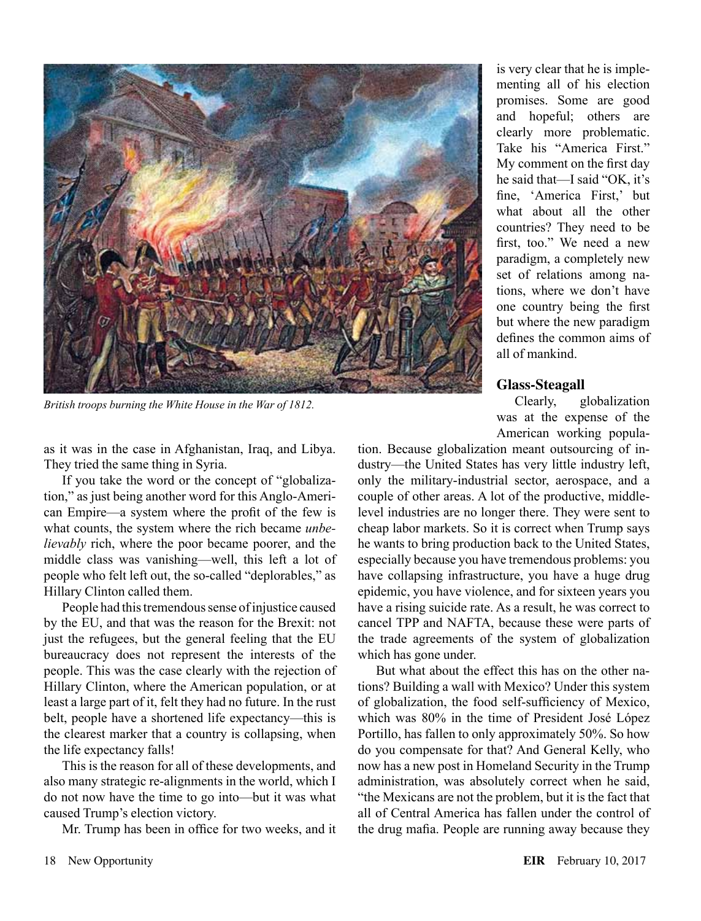

*British troops burning the White House in the War of 1812.*

as it was in the case in Afghanistan, Iraq, and Libya. They tried the same thing in Syria.

If you take the word or the concept of "globalization," as just being another word for this Anglo-American Empire—a system where the profit of the few is what counts, the system where the rich became *unbelievably* rich, where the poor became poorer, and the middle class was vanishing—well, this left a lot of people who felt left out, the so-called "deplorables," as Hillary Clinton called them.

People had this tremendous sense of injustice caused by the EU, and that was the reason for the Brexit: not just the refugees, but the general feeling that the EU bureaucracy does not represent the interests of the people. This was the case clearly with the rejection of Hillary Clinton, where the American population, or at least a large part of it, felt they had no future. In the rust belt, people have a shortened life expectancy—this is the clearest marker that a country is collapsing, when the life expectancy falls!

This is the reason for all of these developments, and also many strategic re-alignments in the world, which I do not now have the time to go into—but it was what caused Trump's election victory.

Mr. Trump has been in office for two weeks, and it

is very clear that he is implementing all of his election promises. Some are good and hopeful; others are clearly more problematic. Take his "America First." My comment on the first day he said that—I said "OK, it's fine, 'America First,' but what about all the other countries? They need to be first, too." We need a new paradigm, a completely new set of relations among nations, where we don't have one country being the first but where the new paradigm defines the common aims of all of mankind.

#### **Glass-Steagall**

Clearly, globalization was at the expense of the American working popula-

tion. Because globalization meant outsourcing of industry—the United States has very little industry left, only the military-industrial sector, aerospace, and a couple of other areas. A lot of the productive, middlelevel industries are no longer there. They were sent to cheap labor markets. So it is correct when Trump says he wants to bring production back to the United States, especially because you have tremendous problems: you have collapsing infrastructure, you have a huge drug epidemic, you have violence, and for sixteen years you have a rising suicide rate. As a result, he was correct to cancel TPP and NAFTA, because these were parts of the trade agreements of the system of globalization which has gone under.

But what about the effect this has on the other nations? Building a wall with Mexico? Under this system of globalization, the food self-sufficiency of Mexico, which was 80% in the time of President José López Portillo, has fallen to only approximately 50%. So how do you compensate for that? And General Kelly, who now has a new post in Homeland Security in the Trump administration, was absolutely correct when he said, "the Mexicans are not the problem, but it is the fact that all of Central America has fallen under the control of the drug mafia. People are running away because they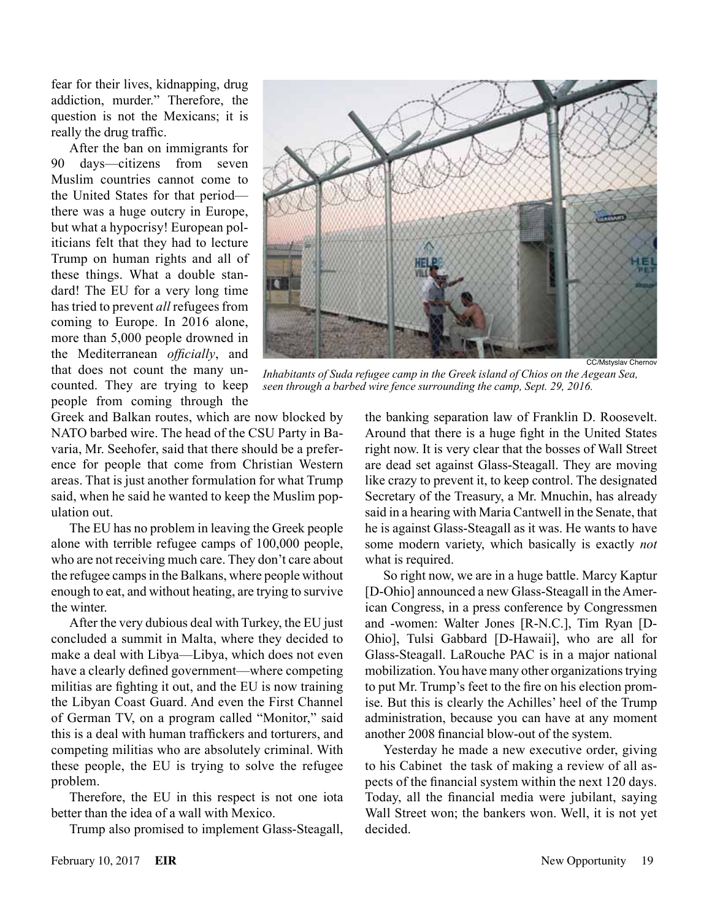fear for their lives, kidnapping, drug addiction, murder." Therefore, the question is not the Mexicans; it is really the drug traffic.

After the ban on immigrants for 90 days—citizens from seven Muslim countries cannot come to the United States for that period there was a huge outcry in Europe, but what a hypocrisy! European politicians felt that they had to lecture Trump on human rights and all of these things. What a double standard! The EU for a very long time has tried to prevent *all* refugees from coming to Europe. In 2016 alone, more than 5,000 people drowned in the Mediterranean *officially*, and that does not count the many uncounted. They are trying to keep people from coming through the



*Inhabitants of Suda refugee camp in the Greek island of Chios on the Aegean Sea, seen through a barbed wire fence surrounding the camp, Sept. 29, 2016.*

Greek and Balkan routes, which are now blocked by NATO barbed wire. The head of the CSU Party in Bavaria, Mr. Seehofer, said that there should be a preference for people that come from Christian Western areas. That is just another formulation for what Trump said, when he said he wanted to keep the Muslim population out.

The EU has no problem in leaving the Greek people alone with terrible refugee camps of 100,000 people, who are not receiving much care. They don't care about the refugee camps in the Balkans, where people without enough to eat, and without heating, are trying to survive the winter.

After the very dubious deal with Turkey, the EU just concluded a summit in Malta, where they decided to make a deal with Libya—Libya, which does not even have a clearly defined government—where competing militias are fighting it out, and the EU is now training the Libyan Coast Guard. And even the First Channel of German TV, on a program called "Monitor," said this is a deal with human traffickers and torturers, and competing militias who are absolutely criminal. With these people, the EU is trying to solve the refugee problem.

Therefore, the EU in this respect is not one iota better than the idea of a wall with Mexico.

Trump also promised to implement Glass-Steagall,

the banking separation law of Franklin D. Roosevelt. Around that there is a huge fight in the United States right now. It is very clear that the bosses of Wall Street are dead set against Glass-Steagall. They are moving like crazy to prevent it, to keep control. The designated Secretary of the Treasury, a Mr. Mnuchin, has already said in a hearing with Maria Cantwell in the Senate, that he is against Glass-Steagall as it was. He wants to have some modern variety, which basically is exactly *not* what is required.

So right now, we are in a huge battle. Marcy Kaptur [D-Ohio] announced a new Glass-Steagall in the American Congress, in a press conference by Congressmen and -women: Walter Jones [R-N.C.], Tim Ryan [D-Ohio], Tulsi Gabbard [D-Hawaii], who are all for Glass-Steagall. LaRouche PAC is in a major national mobilization. You have many other organizations trying to put Mr. Trump's feet to the fire on his election promise. But this is clearly the Achilles' heel of the Trump administration, because you can have at any moment another 2008 financial blow-out of the system.

Yesterday he made a new executive order, giving to his Cabinet the task of making a review of all aspects of the financial system within the next 120 days. Today, all the financial media were jubilant, saying Wall Street won; the bankers won. Well, it is not yet decided.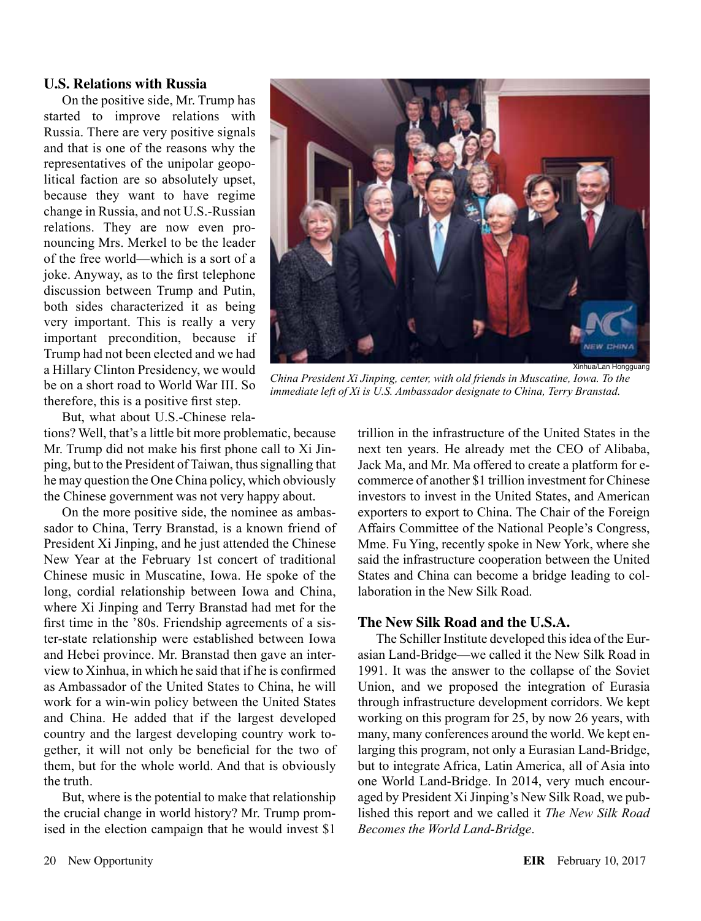### **U.S. Relations with Russia**

On the positive side, Mr. Trump has started to improve relations with Russia. There are very positive signals and that is one of the reasons why the representatives of the unipolar geopolitical faction are so absolutely upset, because they want to have regime change in Russia, and not U.S.-Russian relations. They are now even pronouncing Mrs. Merkel to be the leader of the free world—which is a sort of a joke. Anyway, as to the first telephone discussion between Trump and Putin, both sides characterized it as being very important. This is really a very important precondition, because if Trump had not been elected and we had a Hillary Clinton Presidency, we would be on a short road to World War III. So therefore, this is a positive first step.

But, what about U.S.-Chinese rela-

tions? Well, that's a little bit more problematic, because Mr. Trump did not make his first phone call to Xi Jinping, but to the President of Taiwan, thus signalling that he may question the One China policy, which obviously the Chinese government was not very happy about.

On the more positive side, the nominee as ambassador to China, Terry Branstad, is a known friend of President Xi Jinping, and he just attended the Chinese New Year at the February 1st concert of traditional Chinese music in Muscatine, Iowa. He spoke of the long, cordial relationship between Iowa and China, where Xi Jinping and Terry Branstad had met for the first time in the '80s. Friendship agreements of a sister-state relationship were established between Iowa and Hebei province. Mr. Branstad then gave an interview to Xinhua, in which he said that if he is confirmed as Ambassador of the United States to China, he will work for a win-win policy between the United States and China. He added that if the largest developed country and the largest developing country work together, it will not only be beneficial for the two of them, but for the whole world. And that is obviously the truth.

But, where is the potential to make that relationship the crucial change in world history? Mr. Trump promised in the election campaign that he would invest \$1



*China President Xi Jinping, center, with old friends in Muscatine, Iowa. To the immediate left of Xi is U.S. Ambassador designate to China, Terry Branstad.*

trillion in the infrastructure of the United States in the next ten years. He already met the CEO of Alibaba, Jack Ma, and Mr. Ma offered to create a platform for ecommerce of another \$1 trillion investment for Chinese investors to invest in the United States, and American exporters to export to China. The Chair of the Foreign Affairs Committee of the National People's Congress, Mme. Fu Ying, recently spoke in New York, where she said the infrastructure cooperation between the United States and China can become a bridge leading to collaboration in the New Silk Road.

# **The New Silk Road and the U.S.A.**

The Schiller Institute developed this idea of the Eurasian Land-Bridge—we called it the New Silk Road in 1991. It was the answer to the collapse of the Soviet Union, and we proposed the integration of Eurasia through infrastructure development corridors. We kept working on this program for 25, by now 26 years, with many, many conferences around the world. We kept enlarging this program, not only a Eurasian Land-Bridge, but to integrate Africa, Latin America, all of Asia into one World Land-Bridge. In 2014, very much encouraged by President Xi Jinping's New Silk Road, we published this report and we called it *The New Silk Road Becomes the World Land-Bridge*.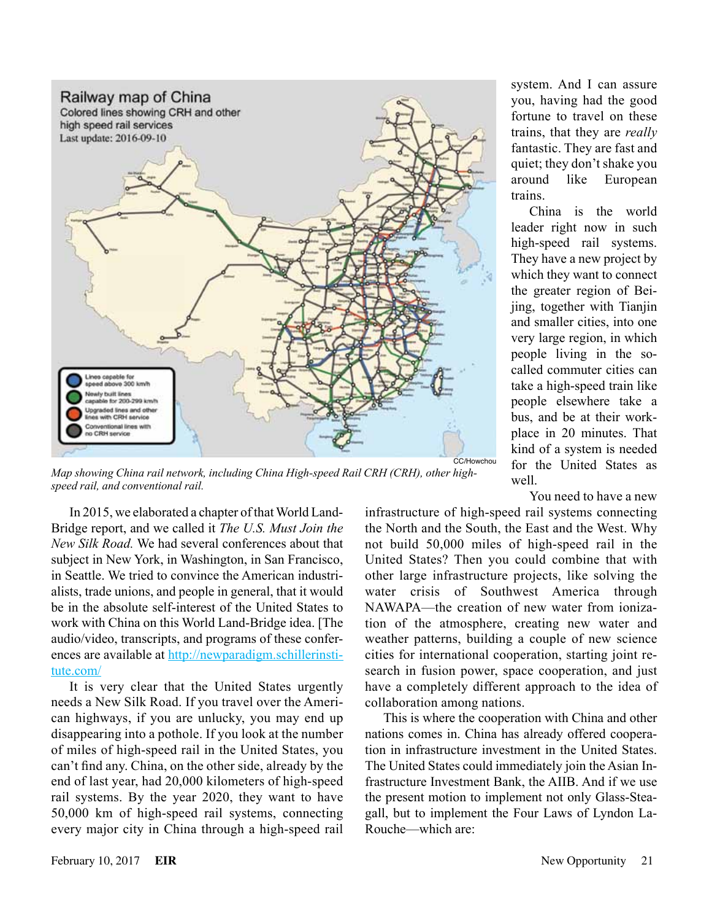

*Map showing China rail network, including China High-speed Rail CRH (CRH), other highspeed rail, and conventional rail.*

In 2015, we elaborated a chapter of that World Land-Bridge report, and we called it *The U.S. Must Join the New Silk Road.* We had several conferences about that subject in New York, in Washington, in San Francisco, in Seattle. We tried to convince the American industrialists, trade unions, and people in general, that it would be in the absolute self-interest of the United States to work with China on this World Land-Bridge idea. [The audio/video, transcripts, and programs of these conferences are available at [http://newparadigm.schillerinsti](http://newparadigm.schillerinstitute.com/)[tute.com/](http://newparadigm.schillerinstitute.com/)

It is very clear that the United States urgently needs a New Silk Road. If you travel over the American highways, if you are unlucky, you may end up disappearing into a pothole. If you look at the number of miles of high-speed rail in the United States, you can't find any. China, on the other side, already by the end of last year, had 20,000 kilometers of high-speed rail systems. By the year 2020, they want to have 50,000 km of high-speed rail systems, connecting every major city in China through a high-speed rail system. And I can assure you, having had the good fortune to travel on these trains, that they are *really* fantastic. They are fast and quiet; they don't shake you around like European trains.

China is the world leader right now in such high-speed rail systems. They have a new project by which they want to connect the greater region of Beijing, together with Tianjin and smaller cities, into one very large region, in which people living in the socalled commuter cities can take a high-speed train like people elsewhere take a bus, and be at their workplace in 20 minutes. That kind of a system is needed for the United States as well

You need to have a new

infrastructure of high-speed rail systems connecting the North and the South, the East and the West. Why not build 50,000 miles of high-speed rail in the United States? Then you could combine that with other large infrastructure projects, like solving the water crisis of Southwest America through NAWAPA—the creation of new water from ionization of the atmosphere, creating new water and weather patterns, building a couple of new science cities for international cooperation, starting joint research in fusion power, space cooperation, and just have a completely different approach to the idea of collaboration among nations.

This is where the cooperation with China and other nations comes in. China has already offered cooperation in infrastructure investment in the United States. The United States could immediately join the Asian Infrastructure Investment Bank, the AIIB. And if we use the present motion to implement not only Glass-Steagall, but to implement the Four Laws of Lyndon La-Rouche—which are: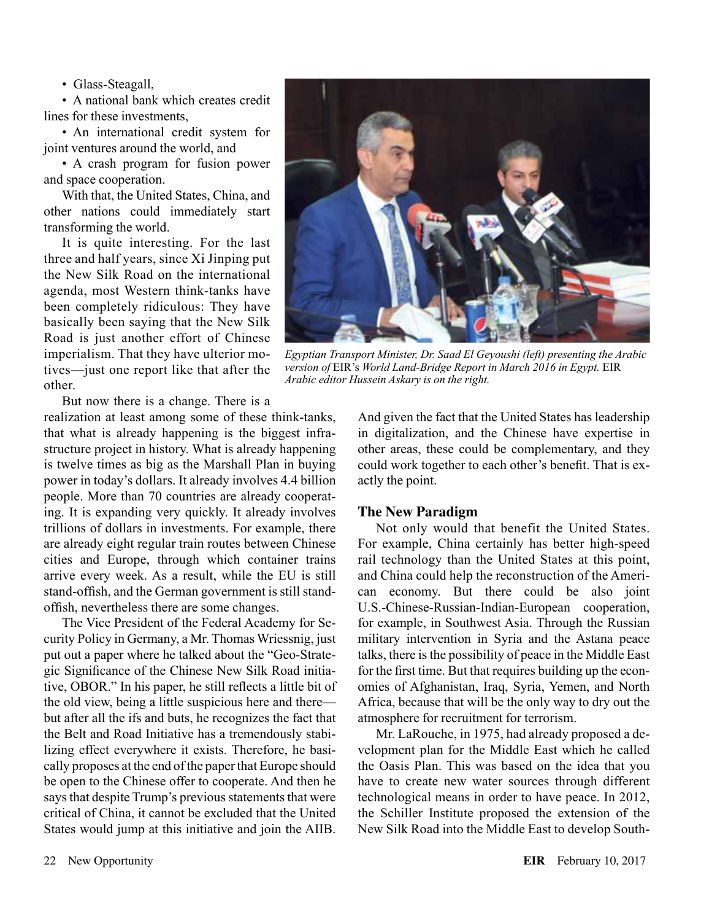• Glass-Steagall,

• A national bank which creates credit lines for these investments,

• An international credit system for joint ventures around the world, and

• A crash program for fusion power and space cooperation.

With that, the United States, China, and other nations could immediately start transforming the world.

It is quite interesting. For the last three and half years, since Xi Jinping put the New Silk Road on the international agenda, most Western think-tanks have been completely ridiculous: They have basically been saying that the New Silk Road is just another effort of Chinese imperialism. That they have ulterior motives—just one report like that after the other.

But now there is a change. There is a

realization at least among some of these think-tanks, that what is already happening is the biggest infrastructure project in history. What is already happening is twelve times as big as the Marshall Plan in buying power in today's dollars. It already involves 4.4 billion people. More than 70 countries are already cooperating. It is expanding very quickly. It already involves trillions of dollars in investments. For example, there are already eight regular train routes between Chinese cities and Europe, through which container trains arrive every week. As a result, while the EU is still stand-offish, and the German government is still standoffish, nevertheless there are some changes.

The Vice President of the Federal Academy for Security Policy in Germany, a Mr. Thomas Wriessnig, just put out a paper where he talked about the "Geo-Strategic Significance of the Chinese New Silk Road initiative, OBOR." In his paper, he still reflects a little bit of the old view, being a little suspicious here and there but after all the ifs and buts, he recognizes the fact that the Belt and Road Initiative has a tremendously stabilizing effect everywhere it exists. Therefore, he basically proposes at the end of the paper that Europe should be open to the Chinese offer to cooperate. And then he says that despite Trump's previous statements that were critical of China, it cannot be excluded that the United States would jump at this initiative and join the AIIB.



*Egyptian Transport Minister, Dr. Saad El Geyoushi (left) presenting the Arabic version of* EIR's *World Land-Bridge Report in March 2016 in Egypt.* EIR *Arabic editor Hussein Askary is on the right.* 

And given the fact that the United States has leadership in digitalization, and the Chinese have expertise in other areas, these could be complementary, and they could work together to each other's benefit. That is exactly the point.

#### **The New Paradigm**

Not only would that benefit the United States. For example, China certainly has better high-speed rail technology than the United States at this point, and China could help the reconstruction of the American economy. But there could be also joint U.S.-Chinese-Russian-Indian-European cooperation, for example, in Southwest Asia. Through the Russian military intervention in Syria and the Astana peace talks, there is the possibility of peace in the Middle East for the first time. But that requires building up the economies of Afghanistan, Iraq, Syria, Yemen, and North Africa, because that will be the only way to dry out the atmosphere for recruitment for terrorism.

Mr. LaRouche, in 1975, had already proposed a development plan for the Middle East which he called the Oasis Plan. This was based on the idea that you have to create new water sources through different technological means in order to have peace. In 2012, the Schiller Institute proposed the extension of the New Silk Road into the Middle East to develop South